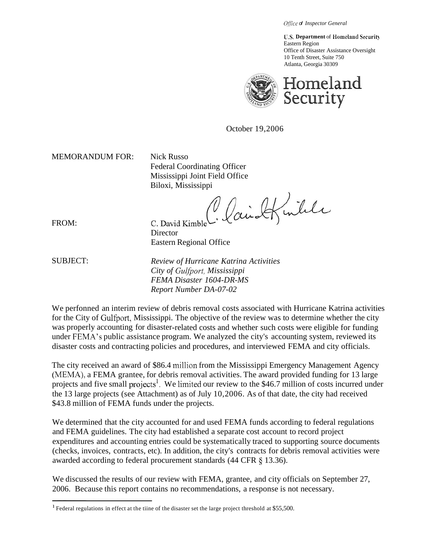*Office of Inspector General* 

**U.S. Department** of Homeland Security Eastern Region Office of Disaster Assistance Oversight 10 Tenth Street, Suite 750 Atlanta, Georgia 30309



October 19,2006

MEMORANDUM FOR: Nick Russo

Federal Coordinating Officer Mississippi Joint Field Office

Biloxi, Mississippi<br>C. David Kimble C. Caird Kinkle

C. David Kimble **Director** Eastern Regional Office

FROM:

*Gulfport, City of Mississippi FEMA Disaster 1604-DR-MS*  SUBJECT: *Review of Hurricane Katrina Activities Report Number DA-07-02* 

for the City of Gulfport, Mississippi. The objective of the review was to determine whether the city under FEMA's public assistance program. We analyzed the city's accounting system, reviewed its We perfonned an interim review of debris removal costs associated with Hurricane Katrina activities was properly accounting for disaster-related costs and whether such costs were eligible for funding disaster costs and contracting policies and procedures, and interviewed FEMA and city officials.

The city received an award of \$86.4 million from the Mississippi Emergency Management Agency (MEMA), a FEMA grantee, for debris removal activities. The award provided funding for 13 large projects and five small projects<sup>1</sup>. We limited our review to the \$46.7 million of costs incurred under the 13 large projects (see Attachment) as of July 10,2006. As of that date, the city had received \$43.8 million of FEMA funds under the projects.

awarded according to federal procurement standards (44 CFR § 13.36). We determined that the city accounted for and used FEMA funds according to federal regulations and FEMA guidelines. The city had established a separate cost account to record project expenditures and accounting entries could be systematically traced to supporting source documents (checks, invoices, contracts, etc). In addition, the city's contracts for debris removal activities were

We discussed the results of our review with FEMA, grantee, and city officials on September 27, 2006. Because this report contains no recommendations, a response is not necessary.

<sup>&#</sup>x27; Federal regulations in effect at the tiine of the disaster set the large project threshold at \$55,500.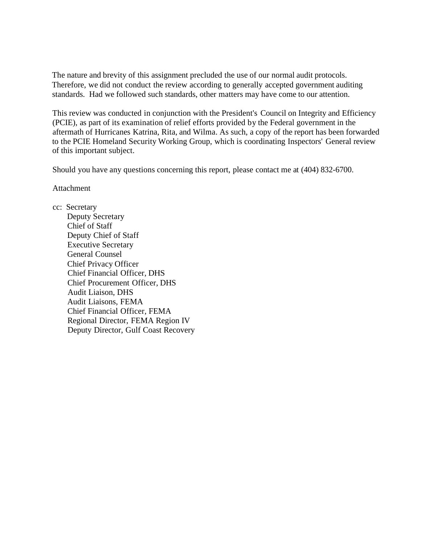The nature and brevity of this assignment precluded the use of our normal audit protocols. Therefore, we did not conduct the review according to generally accepted government auditing standards. Had we followed such standards, other matters may have come to our attention.

This review was conducted in conjunction with the President's Council on Integrity and Efficiency (PCIE), as part of its examination of relief efforts provided by the Federal government in the aftermath of Hurricanes Katrina, Rita, and Wilma. As such, a copy of the report has been forwarded to the PCIE Homeland Security Working Group, which is coordinating Inspectors' General review of this important subject.

Should you have any questions concerning this report, please contact me at (404) 832-6700.

Attachment

cc: Secretary

Deputy Secretary Chief of Staff Deputy Chief of Staff Executive Secretary General Counsel Chief Privacy Officer Chief Financial Officer, DHS Chief Procurement Officer, DHS Audit Liaison, DHS Audit Liaisons, FEMA Chief Financial Officer, FEMA Regional Director, FEMA Region IV Deputy Director, Gulf Coast Recovery